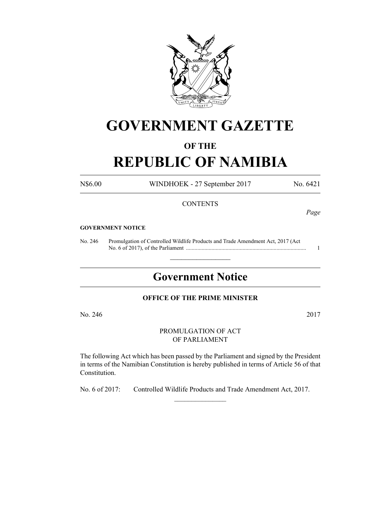

# **GOVERNMENT GAZETTE**

### **OF THE**

## **REPUBLIC OF NAMIBIA**

N\$6.00 WINDHOEK - 27 September 2017 No. 6421

#### **CONTENTS**

*Page*

#### **GOVERNMENT NOTICE**

No. 246 Promulgation of Controlled Wildlife Products and Trade Amendment Act, 2017 (Act No. 6 of 2017), of the Parliament ..................................................................................... 1

## **Government Notice**

 $\frac{1}{2}$  ,  $\frac{1}{2}$  ,  $\frac{1}{2}$  ,  $\frac{1}{2}$  ,  $\frac{1}{2}$  ,  $\frac{1}{2}$  ,  $\frac{1}{2}$ 

#### **OFFICE OF THE PRIME MINISTER**

No. 246 2017

PROMULGATION OF ACT OF PARLIAMENT

The following Act which has been passed by the Parliament and signed by the President in terms of the Namibian Constitution is hereby published in terms of Article 56 of that Constitution.

No. 6 of 2017: Controlled Wildlife Products and Trade Amendment Act, 2017.

 $\frac{1}{2}$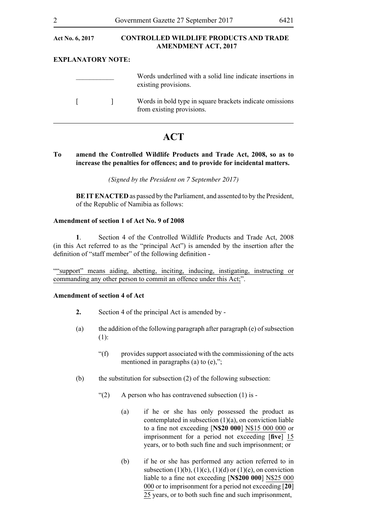| <b>Act No. 6, 2017</b>   |  | <b>CONTROLLED WILDLIFE PRODUCTS AND TRADE</b><br><b>AMENDMENT ACT, 2017</b>           |  |
|--------------------------|--|---------------------------------------------------------------------------------------|--|
| <b>EXPLANATORY NOTE:</b> |  |                                                                                       |  |
|                          |  | Words underlined with a solid line indicate insertions in<br>existing provisions.     |  |
|                          |  | Words in bold type in square brackets indicate omissions<br>from existing provisions. |  |

### **ACT**

#### **To amend the Controlled Wildlife Products and Trade Act, 2008, so as to increase the penalties for offences; and to provide for incidental matters.**

*(Signed by the President on 7 September 2017)*

**BE IT ENACTED** as passed by the Parliament, and assented to by the President, of the Republic of Namibia as follows:

#### **Amendment of section 1 of Act No. 9 of 2008**

**1**. Section 4 of the Controlled Wildlife Products and Trade Act, 2008 (in this Act referred to as the "principal Act") is amended by the insertion after the definition of "staff member" of the following definition -

""support" means aiding, abetting, inciting, inducing, instigating, instructing or commanding any other person to commit an offence under this Act;".

#### **Amendment of section 4 of Act**

- **2.** Section 4 of the principal Act is amended by -
- (a) the addition of the following paragraph after paragraph (e) of subsection (1):
	- "(f) provides support associated with the commissioning of the acts mentioned in paragraphs (a) to (e),";
- (b) the substitution for subsection (2) of the following subsection:
	- " $(2)$  A person who has contravened subsection  $(1)$  is -
		- (a) if he or she has only possessed the product as contemplated in subsection (1)(a), on conviction liable to a fine not exceeding [**N\$20 000**] N\$15 000 000 or imprisonment for a period not exceeding [**five**] 15 years, or to both such fine and such imprisonment; or
		- (b) if he or she has performed any action referred to in subsection  $(1)(b)$ ,  $(1)(c)$ ,  $(1)(d)$  or  $(1)(e)$ , on conviction liable to a fine not exceeding [**N\$200 000**] N\$25 000 000 or to imprisonment for a period not exceeding [**20**] 25 years, or to both such fine and such imprisonment,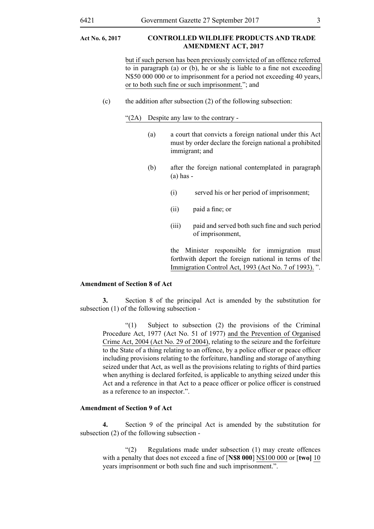#### **Act No. 6, 2017 controlled wildlife products and trade amendment Act, 2017**

but if such person has been previously convicted of an offence referred to in paragraph (a) or (b), he or she is liable to a fine not exceeding N\$50 000 000 or to imprisonment for a period not exceeding 40 years, or to both such fine or such imprisonment."; and

(c) the addition after subsection (2) of the following subsection:

"(2A) Despite any law to the contrary -

- (a) a court that convicts a foreign national under this Act must by order declare the foreign national a prohibited immigrant; and
- (b) after the foreign national contemplated in paragraph (a) has -
	- (i) served his or her period of imprisonment;
	- (ii) paid a fine; or
	- (iii) paid and served both such fine and such period of imprisonment,

the Minister responsible for immigration must forthwith deport the foreign national in terms of the Immigration Control Act, 1993 (Act No. 7 of 1993). ".

#### **Amendment of Section 8 of Act**

**3.** Section 8 of the principal Act is amended by the substitution for subsection (1) of the following subsection -

"(1) Subject to subsection (2) the provisions of the Criminal Procedure Act, 1977 (Act No. 51 of 1977) and the Prevention of Organised Crime Act, 2004 (Act No. 29 of 2004), relating to the seizure and the forfeiture to the State of a thing relating to an offence, by a police officer or peace officer including provisions relating to the forfeiture, handling and storage of anything seized under that Act, as well as the provisions relating to rights of third parties when anything is declared forfeited, is applicable to anything seized under this Act and a reference in that Act to a peace officer or police officer is construed as a reference to an inspector.".

#### **Amendment of Section 9 of Act**

**4.** Section 9 of the principal Act is amended by the substitution for subsection (2) of the following subsection -

"(2) Regulations made under subsection (1) may create offences with a penalty that does not exceed a fine of [**N\$8 000**] N\$100 000 or [**two]** 10 years imprisonment or both such fine and such imprisonment.".